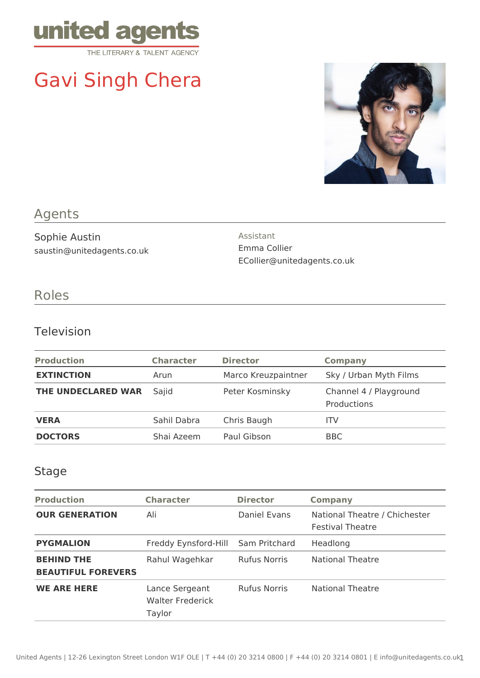

# Gavi Singh Chera



# Agents

Sophie Austin saustin@unitedagents.co.uk Assistant Emma Collier ECollier@unitedagents.co.uk

# Roles

#### Television

| <b>Production</b>  | <b>Character</b> | <b>Director</b>     | <b>Company</b>                        |
|--------------------|------------------|---------------------|---------------------------------------|
| <b>EXTINCTION</b>  | Arun             | Marco Kreuzpaintner | Sky / Urban Myth Films                |
| THE UNDECLARED WAR | Sajid            | Peter Kosminsky     | Channel 4 / Playground<br>Productions |
| <b>VERA</b>        | Sahil Dabra      | Chris Baugh         | ITV                                   |
| <b>DOCTORS</b>     | Shai Azeem       | Paul Gibson         | <b>BBC</b>                            |

#### Stage

| <b>Production</b>                              | <b>Character</b>                                    | <b>Director</b>     | <b>Company</b>                                           |
|------------------------------------------------|-----------------------------------------------------|---------------------|----------------------------------------------------------|
| <b>OUR GENERATION</b>                          | Ali                                                 | Daniel Evans        | National Theatre / Chichester<br><b>Festival Theatre</b> |
| <b>PYGMALION</b>                               | Freddy Eynsford-Hill                                | Sam Pritchard       | Headlong                                                 |
| <b>BEHIND THE</b><br><b>BEAUTIFUL FOREVERS</b> | Rahul Wagehkar                                      | <b>Rufus Norris</b> | <b>National Theatre</b>                                  |
| <b>WE ARE HERE</b>                             | Lance Sergeant<br><b>Walter Frederick</b><br>Taylor | <b>Rufus Norris</b> | <b>National Theatre</b>                                  |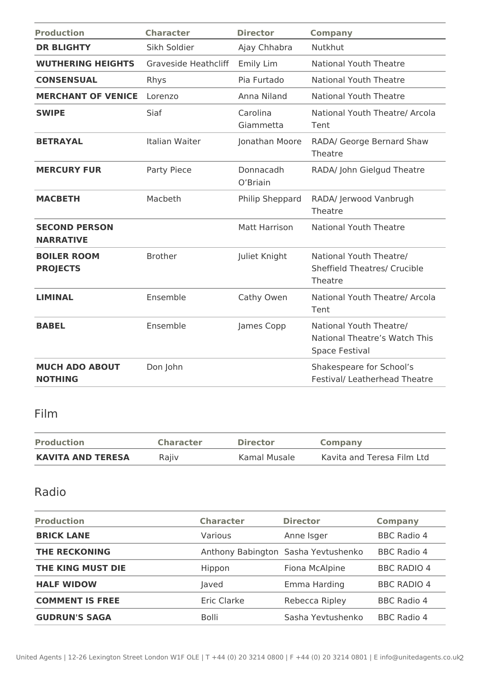| <b>Production</b>                        | <b>Character</b>            | <b>Director</b>       | <b>Company</b>                                                                    |
|------------------------------------------|-----------------------------|-----------------------|-----------------------------------------------------------------------------------|
| <b>DR BLIGHTY</b>                        | Sikh Soldier                | Ajay Chhabra          | <b>Nutkhut</b>                                                                    |
| <b>WUTHERING HEIGHTS</b>                 | <b>Graveside Heathcliff</b> | Emily Lim             | <b>National Youth Theatre</b>                                                     |
| <b>CONSENSUAL</b>                        | Rhys                        | Pia Furtado           | <b>National Youth Theatre</b>                                                     |
| <b>MERCHANT OF VENICE</b>                | Lorenzo                     | Anna Niland           | <b>National Youth Theatre</b>                                                     |
| <b>SWIPE</b>                             | Siaf                        | Carolina<br>Giammetta | National Youth Theatre/ Arcola<br>Tent                                            |
| <b>BETRAYAL</b>                          | Italian Waiter              | Jonathan Moore        | RADA/ George Bernard Shaw<br>Theatre                                              |
| <b>MERCURY FUR</b>                       | Party Piece                 | Donnacadh<br>O'Briain | RADA/ John Gielgud Theatre                                                        |
| <b>MACBETH</b>                           | Macbeth                     | Philip Sheppard       | RADA/ Jerwood Vanbrugh<br>Theatre                                                 |
| <b>SECOND PERSON</b><br><b>NARRATIVE</b> |                             | <b>Matt Harrison</b>  | <b>National Youth Theatre</b>                                                     |
| <b>BOILER ROOM</b><br><b>PROJECTS</b>    | <b>Brother</b>              | Juliet Knight         | National Youth Theatre/<br><b>Sheffield Theatres/ Crucible</b><br>Theatre         |
| <b>LIMINAL</b>                           | Ensemble                    | Cathy Owen            | National Youth Theatre/ Arcola<br>Tent                                            |
| <b>BABEL</b>                             | Ensemble                    | James Copp            | National Youth Theatre/<br>National Theatre's Watch This<br><b>Space Festival</b> |
| <b>MUCH ADO ABOUT</b><br><b>NOTHING</b>  | Don John                    |                       | Shakespeare for School's<br><b>Festival/ Leatherhead Theatre</b>                  |

## Film

| <b>Production</b>        | <b>Character</b> | <b>Director</b> | <b>Company</b>             |
|--------------------------|------------------|-----------------|----------------------------|
| <b>KAVITA AND TERESA</b> | Rajiv            | Kamal Musale    | Kavita and Teresa Film Ltd |

## Radio

| <b>Production</b>      | <b>Character</b> | <b>Director</b>                     | <b>Company</b>     |
|------------------------|------------------|-------------------------------------|--------------------|
| <b>BRICK LANE</b>      | Various          | Anne Isger                          | <b>BBC Radio 4</b> |
| <b>THE RECKONING</b>   |                  | Anthony Babington Sasha Yevtushenko | <b>BBC Radio 4</b> |
| THE KING MUST DIE      | Hippon           | Fiona McAlpine                      | <b>BBC RADIO 4</b> |
| <b>HALF WIDOW</b>      | Javed            | Emma Harding                        | <b>BBC RADIO 4</b> |
| <b>COMMENT IS FREE</b> | Eric Clarke      | Rebecca Ripley                      | <b>BBC Radio 4</b> |
| <b>GUDRUN'S SAGA</b>   | <b>Bolli</b>     | Sasha Yevtushenko                   | BBC Radio 4        |